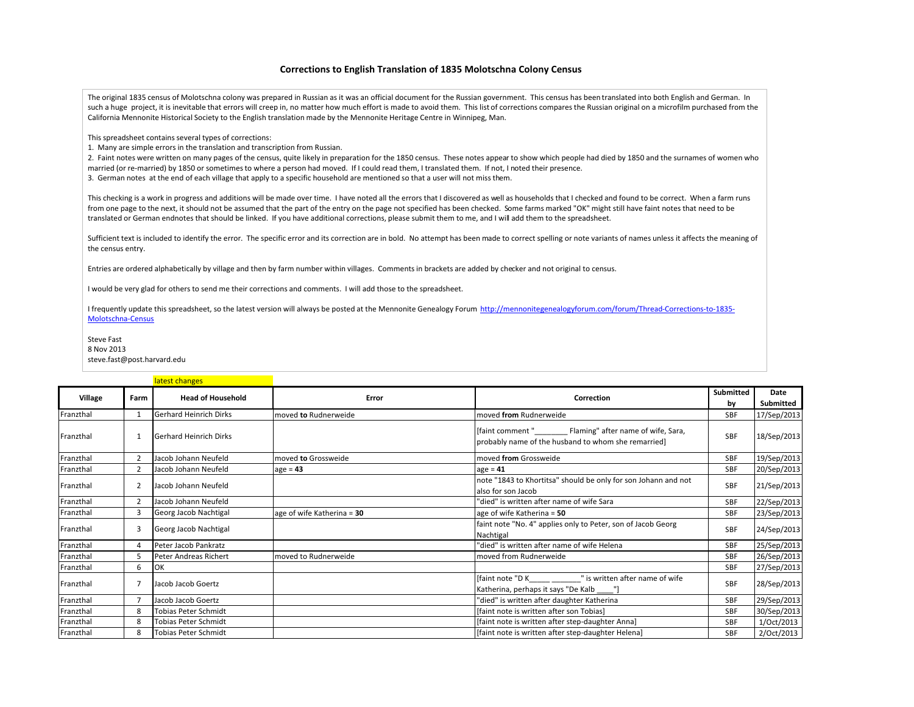## **Corrections to English Translation of 1835 Molotschna Colony Census**

The original 1835 census of Molotschna colony was prepared in Russian as it was an official document for the Russian government. This census has been translated into both English and German. In such a huge project, it is inevitable that errors will creep in, no matter how much effort is made to avoid them. This list of corrections compares the Russian original on a microfilm purchased from the California Mennonite Historical Society to the English translation made by the Mennonite Heritage Centre in Winnipeg, Man.

This spreadsheet contains several types of corrections:

1. Many are simple errors in the translation and transcription from Russian.

2. Faint notes were written on many pages of the census, quite likely in preparation for the 1850 census. These notes appear to show which people had died by 1850 and the surnames of women who married (or re-married) by 1850 or sometimes to where a person had moved. If I could read them, I translated them. If not, I noted their presence.

3. German notes at the end of each village that apply to a specific household are mentioned so that a user will not miss them.

This checking is a work in progress and additions will be made over time. I have noted all the errors that I discovered as well as households that I checked and found to be correct. When a farm runs from one page to the next, it should not be assumed that the part of the entry on the page not specified has been checked. Some farms marked "OK" might still have faint notes that need to be translated or German endnotes that should be linked. If you have additional corrections, please submit them to me, and I will add them to the spreadsheet.

Sufficient text is included to identify the error. The specific error and its correction are in bold. No attempt has been made to correct spelling or note variants of names unless it affects the meaning of the census entry.

Entries are ordered alphabetically by village and then by farm number within villages. Comments in brackets are added by checker and not original to census.

I would be very glad for others to send me their corrections and comments. I will add those to the spreadsheet.

I frequently update this spreadsheet, so the latest version will always be posted at the Mennonite Genealogy Forum http://mennonitegenealogyforum.com/forum/Thread-Corrections-to-1835-Molotschna-Census

Steve Fast 8 Nov 2013

steve.fast@post.harvard.edu

latest changes **Village Farm Head of Household Error Correction Submitted by Date Submitted** Franzthal | 1 Gerhard Heinrich Dirks moved **to** Rudnerweide moved **moved from** Rudnerweide SBF 17/Sep/2013 Franzthal <sup>1</sup> Gerhard Heinrich Dirks [faint comment "\_\_\_\_\_\_\_\_ Flaming" after name of wife, Sara, probably name of the husband to whom she remarried] SBF 18/Sep/2013 Franzthal 2 Jacob Johann Neufeld moved **to** Grossweide moved **from** Grossweide SBF 19/Sep/2013 Franzthal 2 Jacob Johann Neufeld age = **43** age = **41** SBF 20/Sep/2013 Franzthal 2 Jacob Johann Neufeld **note and note "1843** to Khortitsa" should be only for son Johann and not also for son Jacob Subditure Should be only for son Johann and not SBF 21/Sep/2013 Franzthal 2 Jacob Johann Neufeld "died" is written after name of wife Sara SBF 22/Sep/2013 Franzthal 3 Georg Jacob Nachtigal age of wife Katherina = **30** age of wife Katherina = **50** SBF 23/Sep/2013 Franzthal 1989 and Secorg Jacob Nachtigal faint note "No. 4" applies only to Peter, son of Jacob Georg and Secorg in the Secorg metal of the Secorg metal of the Second Secorg metal of the Second Second Second Second Second Nachtigal **SBF** 24/Sep/2013 Franzthal 4 Peter Jacob Pankratz "died" is written after name of wife Helena SBF 25/Sep/2013 Franzthal | 5 |Peter Andreas Richert | moved to Rudnerweide | moved from Rudnerweide | SBF |26/Sep/2013 Franzthal 6 OK SBF 27/Sep/2013 Franzthal The Macob Jacob Goertz **[faint note "D K\_\_\_\_\_\_\_\_\_\_\_\_\_\_\_\_\_\_\_\_**" is written after name of wife [faint note "D K\_\_\_\_\_\_\_\_\_\_\_\_\_\_\_\_" is written after name of wife \_\_\_\_\_\_\_\_\_\_\_\_\_\_\_\_<br>Katherina, perhaps it says "De Kalb \_\_\_\_ "] Franzthal 7 Jacob Jacob Goertz "died" is written after daughter Katherina SBF 29/Sep/2013 Franzthal 18 Tobias Peter Schmidt 1997-19913 (faint note is written after son Tobias] SBF 30/Sep/2013 Franzthal 18 Tobias Peter Schmidt (1991) [faint note is written after step-daughter Anna] SBF 1/Oct/2013

Franzthal 18 Tobias Peter Schmidt 1990 | 1990 | 1990 | 1990 | 1990 | 1990 | 1990 | 1990 | 1990 | 1990 | 1990 |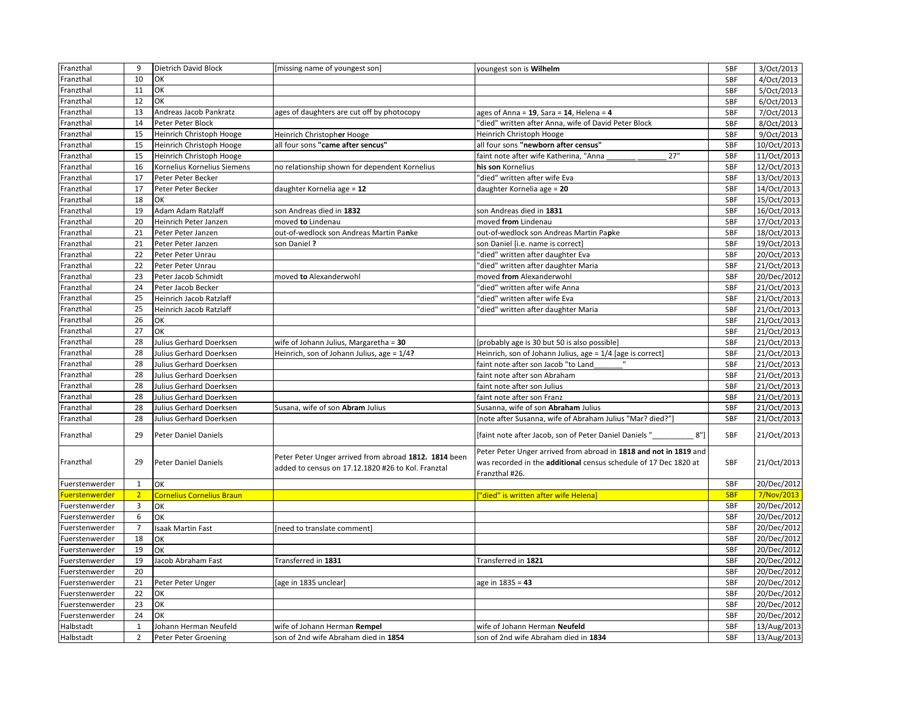| Franzthal      | 9              | Dietrich David Block             | [missing name of youngest son]                                                                              | youngest son is Wilhelm                                                                                                                                 | SBF        | 3/Oct/2013  |
|----------------|----------------|----------------------------------|-------------------------------------------------------------------------------------------------------------|---------------------------------------------------------------------------------------------------------------------------------------------------------|------------|-------------|
| Franzthal      | 10             | OK                               |                                                                                                             |                                                                                                                                                         | SBF        | 4/Oct/2013  |
| Franzthal      | 11             | OK                               |                                                                                                             |                                                                                                                                                         | SBF        | 5/Oct/2013  |
| Franzthal      | 12             | ОК                               |                                                                                                             |                                                                                                                                                         | SBF        | 6/Oct/2013  |
| Franzthal      | 13             | Andreas Jacob Pankratz           | ages of daughters are cut off by photocopy                                                                  | ages of Anna = $19$ , Sara = $14$ , Helena = $4$                                                                                                        | SBF        | 7/Oct/2013  |
| Franzthal      | 14             | Peter Peter Block                |                                                                                                             | 'died" written after Anna, wife of David Peter Block                                                                                                    | SBF        | 8/Oct/2013  |
| Franzthal      | 15             | Heinrich Christoph Hooge         | Heinrich Christopher Hooge                                                                                  | Heinrich Christoph Hooge                                                                                                                                | SBF        | 9/Oct/2013  |
| Franzthal      | 15             | Heinrich Christoph Hooge         | all four sons "came after sencus"                                                                           | all four sons "newborn after census"                                                                                                                    | SBF        | 10/Oct/2013 |
| Franzthal      | 15             | Heinrich Christoph Hooge         |                                                                                                             | faint note after wife Katherina, "Anna<br>27"                                                                                                           | SBF        | 11/Oct/2013 |
| Franzthal      | 16             | Kornelius Kornelius Siemens      | no relationship shown for dependent Kornelius                                                               | his son Kornelius                                                                                                                                       | SBF        | 12/Oct/2013 |
| Franzthal      | 17             | Peter Peter Becker               |                                                                                                             | "died" written after wife Eva                                                                                                                           | SBF        | 13/Oct/2013 |
| Franzthal      | 17             | Peter Peter Becker               | daughter Kornelia age = 12                                                                                  | daughter Kornelia age = 20                                                                                                                              | SBF        | 14/Oct/2013 |
| Franzthal      | 18             | ОК                               |                                                                                                             |                                                                                                                                                         | SBF        | 15/Oct/2013 |
| Franzthal      | 19             | Adam Adam Ratzlaff               | son Andreas died in 1832                                                                                    | son Andreas died in 1831                                                                                                                                | SBF        | 16/Oct/2013 |
| Franzthal      | 20             | Heinrich Peter Janzen            | moved to Lindenau                                                                                           | moved from Lindenau                                                                                                                                     | SBF        | 17/Oct/2013 |
| Franzthal      | 21             | Peter Peter Janzen               | out-of-wedlock son Andreas Martin Panke                                                                     | out-of-wedlock son Andreas Martin Papke                                                                                                                 | SBF        | 18/Oct/2013 |
| Franzthal      | 21             | Peter Peter Janzen               | son Daniel?                                                                                                 | son Daniel [i.e. name is correct]                                                                                                                       | SBF        | 19/Oct/2013 |
| Franzthal      | 22             | Peter Peter Unrau                |                                                                                                             | 'died" written after daughter Eva                                                                                                                       | SBF        | 20/Oct/2013 |
| Franzthal      | 22             | Peter Peter Unrau                |                                                                                                             | 'died" written after daughter Maria                                                                                                                     | SBF        | 21/Oct/2013 |
| Franzthal      | 23             | Peter Jacob Schmidt              | moved to Alexanderwohl                                                                                      | moved from Alexanderwohl                                                                                                                                | SBF        | 20/Dec/2012 |
| Franzthal      | 24             | Peter Jacob Becker               |                                                                                                             | 'died" written after wife Anna                                                                                                                          | SBF        | 21/Oct/2013 |
| Franzthal      | 25             | Heinrich Jacob Ratzlaff          |                                                                                                             | 'died" written after wife Eva                                                                                                                           | SBF        | 21/Oct/2013 |
| Franzthal      | 25             | Heinrich Jacob Ratzlaff          |                                                                                                             | 'died" written after daughter Maria                                                                                                                     | SBF        | 21/Oct/2013 |
| Franzthal      | 26             | OK                               |                                                                                                             |                                                                                                                                                         | SBF        | 21/Oct/2013 |
| Franzthal      | 27             | OK                               |                                                                                                             |                                                                                                                                                         | SBF        | 21/Oct/2013 |
| Franzthal      | 28             | Julius Gerhard Doerksen          | wife of Johann Julius, Margaretha = 30                                                                      | [probably age is 30 but 50 is also possible]                                                                                                            | SBF        | 21/Oct/2013 |
| Franzthal      | 28             | Julius Gerhard Doerksen          | Heinrich, son of Johann Julius, age = 1/4?                                                                  | Heinrich, son of Johann Julius, age = 1/4 [age is correct]                                                                                              | SBF        | 21/Oct/2013 |
| Franzthal      | 28             | Julius Gerhard Doerksen          |                                                                                                             | faint note after son Jacob "to Land                                                                                                                     | SBF        | 21/Oct/2013 |
| Franzthal      | 28             | Julius Gerhard Doerksen          |                                                                                                             | faint note after son Abraham                                                                                                                            | <b>SBF</b> | 21/Oct/2013 |
| Franzthal      | 28             | Julius Gerhard Doerksen          |                                                                                                             | faint note after son Julius                                                                                                                             | SBF        | 21/Oct/2013 |
| Franzthal      | 28             | Julius Gerhard Doerksen          |                                                                                                             | faint note after son Franz                                                                                                                              | SBF        | 21/Oct/2013 |
| Franzthal      | 28             | Julius Gerhard Doerksen          | Susana, wife of son Abram Julius                                                                            | Susanna, wife of son Abraham Julius                                                                                                                     | SBF        | 21/Oct/2013 |
| Franzthal      | 28             | Julius Gerhard Doerksen          |                                                                                                             | [note after Susanna, wife of Abraham Julius "Mar? died?"]                                                                                               | SBF        | 21/Oct/2013 |
| Franzthal      | 29             | <b>Peter Daniel Daniels</b>      |                                                                                                             | $8"$ ]<br>[faint note after Jacob, son of Peter Daniel Daniels "_______                                                                                 | SBF        | 21/Oct/2013 |
| Franzthal      | 29             | Peter Daniel Daniels             | Peter Peter Unger arrived from abroad 1812. 1814 been<br>added to census on 17.12.1820 #26 to Kol. Franztal | Peter Peter Unger arrived from abroad in 1818 and not in 1819 and<br>was recorded in the additional census schedule of 17 Dec 1820 at<br>Franzthal #26. | SBF        | 21/Oct/2013 |
| Fuerstenwerder | $\mathbf{1}$   | OK                               |                                                                                                             |                                                                                                                                                         | SBF        | 20/Dec/2012 |
| Fuerstenwerder | 2 <sup>2</sup> | <b>Cornelius Cornelius Braun</b> |                                                                                                             | ["died" is written after wife Helena]                                                                                                                   | <b>SBF</b> | 7/Nov/2013  |
| Fuerstenwerder | 3              | OK                               |                                                                                                             |                                                                                                                                                         | SBF        | 20/Dec/2012 |
| Fuerstenwerder | 6              | OK                               |                                                                                                             |                                                                                                                                                         | SBF        | 20/Dec/2012 |
| Fuerstenwerder | $\overline{7}$ | Isaak Martin Fast                | [need to translate comment]                                                                                 |                                                                                                                                                         | <b>SBF</b> | 20/Dec/2012 |
| Fuerstenwerder | 18             | OK                               |                                                                                                             |                                                                                                                                                         | SBF        | 20/Dec/2012 |
| Fuerstenwerder | 19             | OK                               |                                                                                                             |                                                                                                                                                         | SBF        | 20/Dec/2012 |
| Fuerstenwerder | 19             | Jacob Abraham Fast               | Transferred in 1831                                                                                         | Transferred in 1821                                                                                                                                     | SBF        | 20/Dec/2012 |
| Fuerstenwerder | 20             |                                  |                                                                                                             |                                                                                                                                                         | SBF        | 20/Dec/2012 |
| Fuerstenwerder | 21             | Peter Peter Unger                | [age in 1835 unclear]                                                                                       | age in 1835 = 43                                                                                                                                        | SBF        | 20/Dec/2012 |
| Fuerstenwerder | 22             | OK                               |                                                                                                             |                                                                                                                                                         | SBF        | 20/Dec/2012 |
| Fuerstenwerder | 23             | OK                               |                                                                                                             |                                                                                                                                                         | SBF        | 20/Dec/2012 |
| Fuerstenwerder | 24             | OK                               |                                                                                                             |                                                                                                                                                         | SBF        | 20/Dec/2012 |
| Halbstadt      | $\mathbf{1}$   | Johann Herman Neufeld            | wife of Johann Herman Rempel                                                                                | wife of Johann Herman Neufeld                                                                                                                           | SBF        | 13/Aug/2013 |
| Halbstadt      | $\overline{2}$ | Peter Peter Groening             | son of 2nd wife Abraham died in 1854                                                                        | son of 2nd wife Abraham died in 1834                                                                                                                    | SBF        | 13/Aug/2013 |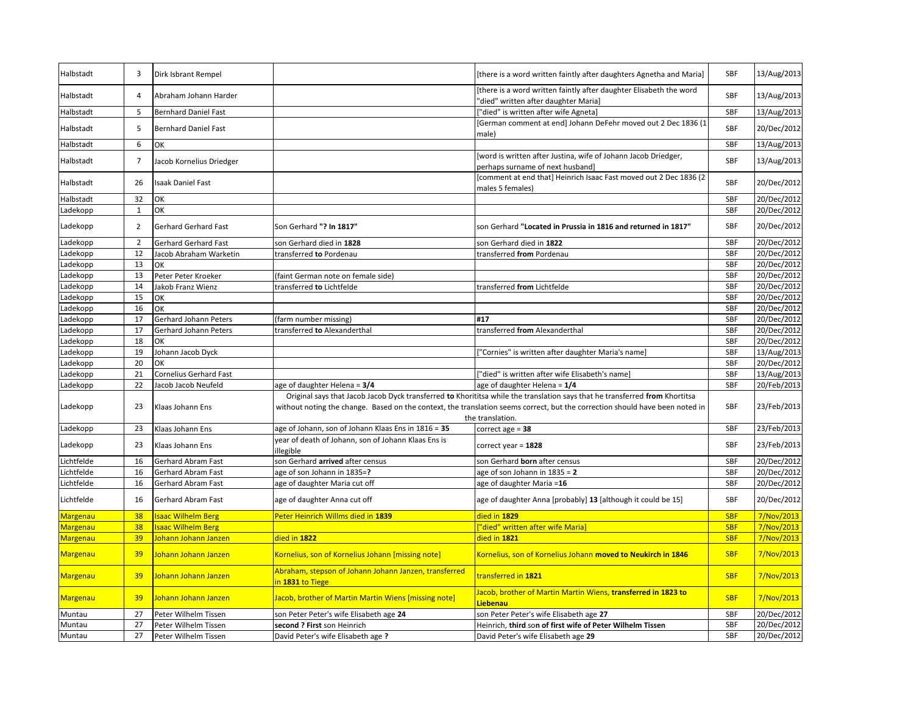| Halbstadt       | 3              | Dirk Isbrant Rempel           |                                                                           | [there is a word written faintly after daughters Agnetha and Maria]                                                                                                                                                                                                             | SBF        | 13/Aug/2013 |
|-----------------|----------------|-------------------------------|---------------------------------------------------------------------------|---------------------------------------------------------------------------------------------------------------------------------------------------------------------------------------------------------------------------------------------------------------------------------|------------|-------------|
| Halbstadt       | 4              | Abraham Johann Harder         |                                                                           | [there is a word written faintly after daughter Elisabeth the word<br>'died" written after daughter Maria]                                                                                                                                                                      | <b>SBF</b> | 13/Aug/2013 |
| Halbstadt       | 5              | <b>Bernhard Daniel Fast</b>   |                                                                           | "died" is written after wife Agneta]                                                                                                                                                                                                                                            | SBF        | 13/Aug/2013 |
| Halbstadt       | 5              | <b>Bernhard Daniel Fast</b>   |                                                                           | [German comment at end] Johann DeFehr moved out 2 Dec 1836 (1<br>male)                                                                                                                                                                                                          | SBF        | 20/Dec/2012 |
| Halbstadt       | 6              | ОК                            |                                                                           |                                                                                                                                                                                                                                                                                 | SBF        | 13/Aug/2013 |
| Halbstadt       | $\overline{7}$ | Jacob Kornelius Driedger      |                                                                           | word is written after Justina, wife of Johann Jacob Driedger,                                                                                                                                                                                                                   | SBF        | 13/Aug/2013 |
| Halbstadt       | 26             | <b>Isaak Daniel Fast</b>      |                                                                           | perhaps surname of next husband]<br>[comment at end that] Heinrich Isaac Fast moved out 2 Dec 1836 (2<br>males 5 females)                                                                                                                                                       | SBF        | 20/Dec/2012 |
| Halbstadt       | 32             | ОК                            |                                                                           |                                                                                                                                                                                                                                                                                 | SBF        | 20/Dec/2012 |
| Ladekopp        | $\mathbf{1}$   | ОК                            |                                                                           |                                                                                                                                                                                                                                                                                 | SBF        | 20/Dec/2012 |
| Ladekopp        | $\overline{2}$ | Gerhard Gerhard Fast          | Son Gerhard "? In 1817"                                                   | son Gerhard "Located in Prussia in 1816 and returned in 1817"                                                                                                                                                                                                                   | SBF        | 20/Dec/2012 |
| Ladekopp        | $\overline{2}$ | <b>Gerhard Gerhard Fast</b>   | son Gerhard died in 1828                                                  | son Gerhard died in 1822                                                                                                                                                                                                                                                        | SBF        | 20/Dec/2012 |
| Ladekopp        | 12             | Jacob Abraham Warketin        | transferred to Pordenau                                                   | transferred from Pordenau                                                                                                                                                                                                                                                       | SBF        | 20/Dec/2012 |
| Ladekopp        | 13             | ОΚ                            |                                                                           |                                                                                                                                                                                                                                                                                 | SBF        | 20/Dec/2012 |
| Ladekopp        | 13             | Peter Peter Kroeker           | (faint German note on female side)                                        |                                                                                                                                                                                                                                                                                 | SBF        | 20/Dec/2012 |
| Ladekopp        | 14             | Jakob Franz Wienz             | transferred to Lichtfelde                                                 | transferred from Lichtfelde                                                                                                                                                                                                                                                     | SBF        | 20/Dec/2012 |
| Ladekopp        | 15             | OK                            |                                                                           |                                                                                                                                                                                                                                                                                 | SBF        | 20/Dec/2012 |
| Ladekopp        | 16             | OK                            |                                                                           |                                                                                                                                                                                                                                                                                 | SBF        | 20/Dec/2012 |
| Ladekopp        | 17             | Gerhard Johann Peters         | (farm number missing)                                                     | #17                                                                                                                                                                                                                                                                             | SBF        | 20/Dec/2012 |
| Ladekopp        | 17             | Gerhard Johann Peters         | transferred to Alexanderthal                                              | transferred from Alexanderthal                                                                                                                                                                                                                                                  | SBF        | 20/Dec/2012 |
| Ladekopp        | 18             | OK                            |                                                                           |                                                                                                                                                                                                                                                                                 | SBF        | 20/Dec/2012 |
| Ladekopp        | 19             | Johann Jacob Dyck             |                                                                           | "Cornies" is written after daughter Maria's name]                                                                                                                                                                                                                               | SBF        | 13/Aug/2013 |
| Ladekopp        | 20             | OK                            |                                                                           |                                                                                                                                                                                                                                                                                 | SBF        | 20/Dec/2012 |
| Ladekopp        | 21             | <b>Cornelius Gerhard Fast</b> |                                                                           | "died" is written after wife Elisabeth's name]                                                                                                                                                                                                                                  | SBF        | 13/Aug/2013 |
| Ladekopp        | 22             | Jacob Jacob Neufeld           | age of daughter Helena = 3/4                                              | age of daughter Helena = $1/4$                                                                                                                                                                                                                                                  | SBF        | 20/Feb/2013 |
| Ladekopp        | 23             | Klaas Johann Ens              |                                                                           | Original says that Jacob Jacob Dyck transferred to Khorititsa while the translation says that he transferred from Khortitsa<br>without noting the change. Based on the context, the translation seems correct, but the correction should have been noted in<br>the translation. | SBF        | 23/Feb/2013 |
| Ladekopp        | 23             | Klaas Johann Ens              | age of Johann, son of Johann Klaas Ens in 1816 = 35                       | correct age = $38$                                                                                                                                                                                                                                                              | SBF        | 23/Feb/2013 |
| Ladekopp        | 23             | Klaas Johann Ens              | year of death of Johann, son of Johann Klaas Ens is<br>illegible          | correct year = 1828                                                                                                                                                                                                                                                             | SBF        | 23/Feb/2013 |
| Lichtfelde      | 16             | Gerhard Abram Fast            | son Gerhard arrived after census                                          | son Gerhard born after census                                                                                                                                                                                                                                                   | SBF        | 20/Dec/2012 |
| Lichtfelde      | 16             | <b>Gerhard Abram Fast</b>     | age of son Johann in 1835=?                                               | age of son Johann in $1835 = 2$                                                                                                                                                                                                                                                 | SBF        | 20/Dec/2012 |
| Lichtfelde      | 16             | Gerhard Abram Fast            | age of daughter Maria cut off                                             | age of daughter Maria =16                                                                                                                                                                                                                                                       | SBF        | 20/Dec/2012 |
| Lichtfelde      | 16             | Gerhard Abram Fast            | age of daughter Anna cut off                                              | age of daughter Anna [probably] 13 [although it could be 15]                                                                                                                                                                                                                    | SBF        | 20/Dec/2012 |
| Margenau        | 38             | <b>Isaac Wilhelm Berg</b>     | Peter Heinrich Willms died in 1839                                        | died in 1829                                                                                                                                                                                                                                                                    | <b>SBF</b> | 7/Nov/2013  |
| Margenau        | 38             | <b>Isaac Wilhelm Berg</b>     |                                                                           | ["died" written after wife Maria]                                                                                                                                                                                                                                               | <b>SBF</b> | 7/Nov/2013  |
| <b>Margenau</b> | 39             | Johann Johann Janzen          | died in 1822                                                              | died in 1 <mark>821</mark>                                                                                                                                                                                                                                                      | <b>SBF</b> | 7/Nov/2013  |
| <b>Margenau</b> | 39             | Johann Johann Janzen          | Kornelius, son of Kornelius Johann [missing note]                         | Kornelius, son of Kornelius Johann moved to Neukirch in 1846                                                                                                                                                                                                                    | <b>SBF</b> | 7/Nov/2013  |
| <b>Margenau</b> | 39             | Johann Johann Janzen          | Abraham, stepson of Johann Johann Janzen, transferred<br>in 1831 to Tiege | transferred in 1821                                                                                                                                                                                                                                                             | <b>SBF</b> | 7/Nov/2013  |
| <b>Margenau</b> | 39             | Johann Johann Janzen          | Jacob, brother of Martin Martin Wiens [missing note]                      | Jacob, brother of Martin Martin Wiens, transferred in 1823 to<br>Liebenau                                                                                                                                                                                                       | <b>SBF</b> | 7/Nov/2013  |
| Muntau          | 27             | Peter Wilhelm Tissen          | son Peter Peter's wife Elisabeth age 24                                   | son Peter Peter's wife Elisabeth age 27                                                                                                                                                                                                                                         | SBF        | 20/Dec/2012 |
| Muntau          | 27             | Peter Wilhelm Tissen          | second ? First son Heinrich                                               | Heinrich, third son of first wife of Peter Wilhelm Tissen                                                                                                                                                                                                                       | SBF        | 20/Dec/2012 |
| Muntau          | 27             | Peter Wilhelm Tissen          | David Peter's wife Elisabeth age ?                                        | David Peter's wife Elisabeth age 29                                                                                                                                                                                                                                             | SBF        | 20/Dec/2012 |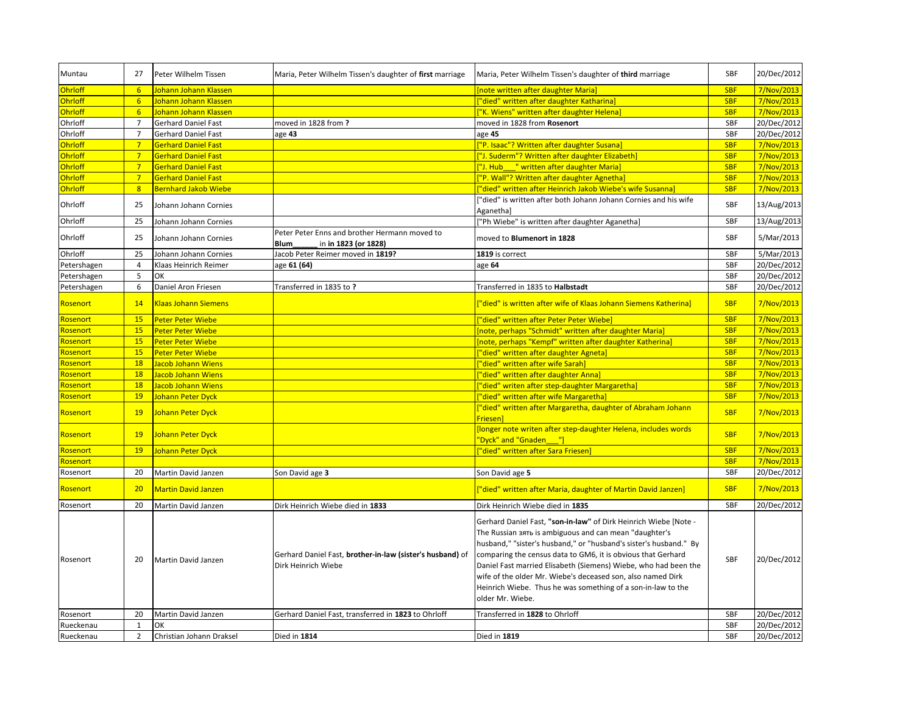| Muntau                | 27             | Peter Wilhelm Tissen       | Maria, Peter Wilhelm Tissen's daughter of first marriage                             | Maria, Peter Wilhelm Tissen's daughter of third marriage                                                                                                                                                                                                                                                                                                                                                                                                                              | SBF        | 20/Dec/2012 |
|-----------------------|----------------|----------------------------|--------------------------------------------------------------------------------------|---------------------------------------------------------------------------------------------------------------------------------------------------------------------------------------------------------------------------------------------------------------------------------------------------------------------------------------------------------------------------------------------------------------------------------------------------------------------------------------|------------|-------------|
| <b>Ohrloff</b>        | 6 <sup>1</sup> | Johann Johann Klassen      |                                                                                      | [note written after daughter Maria]                                                                                                                                                                                                                                                                                                                                                                                                                                                   | <b>SBF</b> | 7/Nov/2013  |
| <b>Ohrloff</b>        | 6 <sup>1</sup> | Johann Johann Klassen      |                                                                                      | ["died" written after daughter Katharina]                                                                                                                                                                                                                                                                                                                                                                                                                                             | <b>SBF</b> | 7/Nov/2013  |
| Ohrloff               | 6 <sup>1</sup> | Johann Johann Klassen      |                                                                                      | ["K. Wiens" written after daughter Helena]                                                                                                                                                                                                                                                                                                                                                                                                                                            | <b>SBF</b> | 7/Nov/2013  |
| Ohrloff               | $\overline{7}$ | <b>Gerhard Daniel Fast</b> | moved in 1828 from?                                                                  | moved in 1828 from Rosenort                                                                                                                                                                                                                                                                                                                                                                                                                                                           | SBF        | 20/Dec/2012 |
| Ohrloff               | $\overline{7}$ | Gerhard Daniel Fast        | age 43                                                                               | age 45                                                                                                                                                                                                                                                                                                                                                                                                                                                                                | <b>SBF</b> | 20/Dec/2012 |
| <b>Ohrloff</b>        | $7^{\circ}$    | <b>Gerhard Daniel Fast</b> |                                                                                      | ["P. Isaac"? Written after daughter Susana]                                                                                                                                                                                                                                                                                                                                                                                                                                           | <b>SBF</b> | 7/Nov/2013  |
| Ohrloff               | 7 <sup>2</sup> | <b>Gerhard Daniel Fast</b> |                                                                                      | ["J. Suderm"? Written after daughter Elizabeth]                                                                                                                                                                                                                                                                                                                                                                                                                                       | <b>SBF</b> | 7/Nov/2013  |
| <b>Ohrloff</b>        | $7^{\circ}$    | <b>Gerhard Daniel Fast</b> |                                                                                      | ["J. Hub " written after daughter Maria]                                                                                                                                                                                                                                                                                                                                                                                                                                              | <b>SBF</b> | 7/Nov/2013  |
| <b>Ohrloff</b>        | 7 <sup>2</sup> | <b>Gerhard Daniel Fast</b> |                                                                                      | ["P. Wall"? Written after daughter Agnetha]                                                                                                                                                                                                                                                                                                                                                                                                                                           | <b>SBF</b> | 7/Nov/2013  |
| <b>Ohrloff</b>        | 8 <sup>1</sup> | Bernhard Jakob Wiebe       |                                                                                      | ["died" written after Heinrich Jakob Wiebe's wife Susanna]                                                                                                                                                                                                                                                                                                                                                                                                                            | <b>SBF</b> | 7/Nov/2013  |
| Ohrloff               | 25             | Johann Johann Cornies      |                                                                                      | ["died" is written after both Johann Johann Cornies and his wife<br>Aganetha]                                                                                                                                                                                                                                                                                                                                                                                                         | SBF        | 13/Aug/2013 |
| Ohrloff               | 25             | Johann Johann Cornies      |                                                                                      | ["Ph Wiebe" is written after daughter Aganetha]                                                                                                                                                                                                                                                                                                                                                                                                                                       | SBF        | 13/Aug/2013 |
| Ohrloff               | 25             | Johann Johann Cornies      | Peter Peter Enns and brother Hermann moved to<br>in in 1823 (or 1828)<br><b>Blum</b> | moved to Blumenort in 1828                                                                                                                                                                                                                                                                                                                                                                                                                                                            | SBF        | 5/Mar/2013  |
| Ohrloff               | 25             | Johann Johann Cornies      | Jacob Peter Reimer moved in 1819?                                                    | 1819 is correct                                                                                                                                                                                                                                                                                                                                                                                                                                                                       | SBF        | 5/Mar/2013  |
| Petershagen           | 4              | Klaas Heinrich Reimer      | age 61 (64)                                                                          | age 64                                                                                                                                                                                                                                                                                                                                                                                                                                                                                | SBF        | 20/Dec/2012 |
| Petershagen           | 5              | OK                         |                                                                                      |                                                                                                                                                                                                                                                                                                                                                                                                                                                                                       | SBF        | 20/Dec/2012 |
| Petershagen           | 6              | Daniel Aron Friesen        | Transferred in 1835 to?                                                              | Transferred in 1835 to Halbstadt                                                                                                                                                                                                                                                                                                                                                                                                                                                      | SBF        | 20/Dec/2012 |
| Rosenort              | 14             | Klaas Johann Siemens       |                                                                                      | ["died" is written after wife of Klaas Johann Siemens Katherina]                                                                                                                                                                                                                                                                                                                                                                                                                      | <b>SBF</b> | 7/Nov/2013  |
| Rosenort              | 15             | <b>Peter Peter Wiebe</b>   |                                                                                      | ["died" written after Peter Peter Wiebe]                                                                                                                                                                                                                                                                                                                                                                                                                                              | <b>SBF</b> | 7/Nov/2013  |
| Rosenort              | 15             | <b>Peter Peter Wiebe</b>   |                                                                                      | [note, perhaps "Schmidt" written after daughter Maria]                                                                                                                                                                                                                                                                                                                                                                                                                                | <b>SBF</b> | 7/Nov/2013  |
| <u>Rosenort</u>       | 15             | <b>Peter Peter Wiebe</b>   |                                                                                      | [note, perhaps "Kempf" written after daughter Katherina]                                                                                                                                                                                                                                                                                                                                                                                                                              | <b>SBF</b> | 7/Nov/2013  |
| Rosenort              | 15             | <b>Peter Peter Wiebe</b>   |                                                                                      | ["died" written after daughter Agneta]                                                                                                                                                                                                                                                                                                                                                                                                                                                | <b>SBF</b> | 7/Nov/2013  |
| <mark>Rosenort</mark> | 18             | Jacob Johann Wiens         |                                                                                      | "died" written after wife Sarah]                                                                                                                                                                                                                                                                                                                                                                                                                                                      | <b>SBF</b> | 7/Nov/2013  |
| Rosenort              | 18             | Jacob Johann Wiens         |                                                                                      | "died" written after daughter Anna]                                                                                                                                                                                                                                                                                                                                                                                                                                                   | <b>SBF</b> | 7/Nov/2013  |
| Rosenort              | 18             | Jacob Johann Wiens         |                                                                                      | ["died" writen after step-daughter Margaretha]                                                                                                                                                                                                                                                                                                                                                                                                                                        | <b>SBF</b> | 7/Nov/2013  |
| Rosenort              | 19             | Johann Peter Dyck          |                                                                                      | ["died" written after wife Margaretha]                                                                                                                                                                                                                                                                                                                                                                                                                                                | <b>SBF</b> | 7/Nov/2013  |
| Rosenort              | 19             | Johann Peter Dyck          |                                                                                      | udied" written after Margaretha, daughter of Abraham Johann<br><b>Friesen1</b>                                                                                                                                                                                                                                                                                                                                                                                                        | <b>SBF</b> | 7/Nov/2013  |
| Rosenort              | 19             | Johann Peter Dyck          |                                                                                      | [longer note writen after step-daughter Helena, includes words<br>"Dyck" and "Gnaden "]                                                                                                                                                                                                                                                                                                                                                                                               | <b>SBF</b> | 7/Nov/2013  |
| Rosenort              | 19             | Johann Peter Dyck          |                                                                                      | ["died" written after Sara Friesen]                                                                                                                                                                                                                                                                                                                                                                                                                                                   | <b>SBF</b> | 7/Nov/2013  |
| Rosenort              |                |                            |                                                                                      |                                                                                                                                                                                                                                                                                                                                                                                                                                                                                       | <b>SBF</b> | 7/Nov/2013  |
| Rosenort              | 20             | Martin David Janzen        | Son David age 3                                                                      | Son David age 5                                                                                                                                                                                                                                                                                                                                                                                                                                                                       | SBF        | 20/Dec/2012 |
| <mark>Rosenort</mark> | 20             | <b>Martin David Janzen</b> |                                                                                      | ["died" written after Maria, daughter of Martin David Janzen]                                                                                                                                                                                                                                                                                                                                                                                                                         | <b>SBF</b> | 7/Nov/2013  |
| Rosenort              | 20             | Martin David Janzen        | Dirk Heinrich Wiebe died in 1833                                                     | Dirk Heinrich Wiebe died in 1835                                                                                                                                                                                                                                                                                                                                                                                                                                                      | SBF        | 20/Dec/2012 |
| Rosenort              | 20             | Martin David Janzen        | Gerhard Daniel Fast, brother-in-law (sister's husband) of<br>Dirk Heinrich Wiebe     | Gerhard Daniel Fast, "son-in-law" of Dirk Heinrich Wiebe [Note -<br>The Russian зять is ambiguous and can mean "daughter's<br>husband," "sister's husband," or "husband's sister's husband." By<br>comparing the census data to GM6, it is obvious that Gerhard<br>Daniel Fast married Elisabeth (Siemens) Wiebe, who had been the<br>wife of the older Mr. Wiebe's deceased son, also named Dirk<br>Heinrich Wiebe. Thus he was something of a son-in-law to the<br>older Mr. Wiebe. | SBF        | 20/Dec/2012 |
| Rosenort              | 20             | Martin David Janzen        | Gerhard Daniel Fast, transferred in 1823 to Ohrloff                                  | Transferred in 1828 to Ohrloff                                                                                                                                                                                                                                                                                                                                                                                                                                                        | SBF        | 20/Dec/2012 |
| Rueckenau             | $\mathbf{1}$   | OK                         |                                                                                      |                                                                                                                                                                                                                                                                                                                                                                                                                                                                                       | SBF        | 20/Dec/2012 |
| Rueckenau             | $\overline{2}$ | Christian Johann Draksel   | Died in 1814                                                                         | Died in 1819                                                                                                                                                                                                                                                                                                                                                                                                                                                                          | SBF        | 20/Dec/2012 |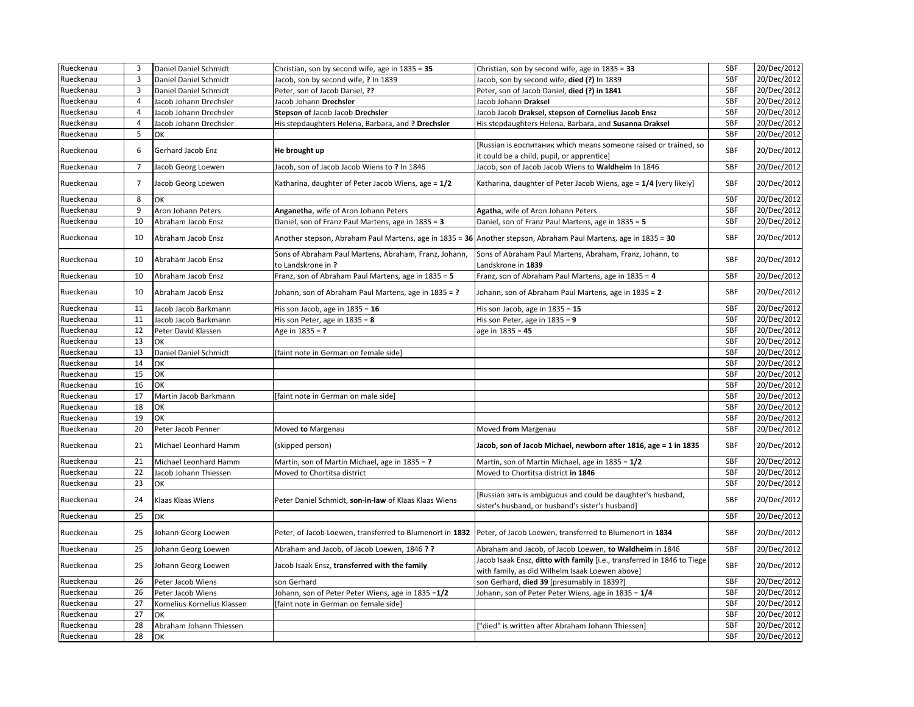| Rueckenau | $\overline{\mathbf{3}}$ | Daniel Daniel Schmidt       | Christian, son by second wife, age in 1835 = 35                                                                   | Christian, son by second wife, age in 1835 = 33                                                                                   | SBF        | 20/Dec/2012 |
|-----------|-------------------------|-----------------------------|-------------------------------------------------------------------------------------------------------------------|-----------------------------------------------------------------------------------------------------------------------------------|------------|-------------|
| Rueckenau | $\overline{3}$          | Daniel Daniel Schmidt       | Jacob, son by second wife, ? In 1839                                                                              | Jacob, son by second wife, died (?) In 1839                                                                                       | SBF        | 20/Dec/2012 |
| Rueckenau | $\overline{3}$          | Daniel Daniel Schmidt       | Peter, son of Jacob Daniel, ??                                                                                    | Peter, son of Jacob Daniel, died (?) in 1841                                                                                      | SBF        | 20/Dec/2012 |
| Rueckenau | $\overline{4}$          | Jacob Johann Drechsler      | Jacob Johann Drechsler                                                                                            | Jacob Johann Draksel                                                                                                              | SBF        | 20/Dec/2012 |
| Rueckenau | $\overline{4}$          | Jacob Johann Drechsler      | Stepson of Jacob Jacob Drechsler                                                                                  | Jacob Jacob Draksel, stepson of Cornelius Jacob Ensz                                                                              | <b>SBF</b> | 20/Dec/2012 |
| Rueckenau | $\overline{4}$          | Jacob Johann Drechsler      | His stepdaughters Helena, Barbara, and ? Drechsler                                                                | His stepdaughters Helena, Barbara, and Susanna Draksel                                                                            | SBF        | 20/Dec/2012 |
| Rueckenau | 5                       | OK                          |                                                                                                                   |                                                                                                                                   | SBF        | 20/Dec/2012 |
|           | 6                       |                             |                                                                                                                   | [Russian is воспитаник which means someone raised or trained, so                                                                  | SBF        | 20/Dec/2012 |
| Rueckenau |                         | Gerhard Jacob Enz           | He brought up                                                                                                     | it could be a child, pupil, or apprentice]                                                                                        |            |             |
| Rueckenau | $\overline{7}$          | Jacob Georg Loewen          | Jacob, son of Jacob Jacob Wiens to ? In 1846                                                                      | Jacob, son of Jacob Jacob Wiens to Waldheim In 1846                                                                               | SBF        | 20/Dec/2012 |
| Rueckenau | $\overline{7}$          | Jacob Georg Loewen          | Katharina, daughter of Peter Jacob Wiens, age = 1/2                                                               | Katharina, daughter of Peter Jacob Wiens, age = 1/4 [very likely]                                                                 | SBF        | 20/Dec/2012 |
| Rueckenau | 8                       | OK                          |                                                                                                                   |                                                                                                                                   | SBF        | 20/Dec/2012 |
| Rueckenau | 9                       | Aron Johann Peters          | Anganetha, wife of Aron Johann Peters                                                                             | Agatha, wife of Aron Johann Peters                                                                                                | SBF        | 20/Dec/2012 |
| Rueckenau | 10                      | Abraham Jacob Ensz          | Daniel, son of Franz Paul Martens, age in 1835 = 3                                                                | Daniel, son of Franz Paul Martens, age in 1835 = 5                                                                                | SBF        | 20/Dec/2012 |
| Rueckenau | 10                      | Abraham Jacob Ensz          |                                                                                                                   | Another stepson, Abraham Paul Martens, age in 1835 = 36 Another stepson, Abraham Paul Martens, age in 1835 = 30                   | SBF        | 20/Dec/2012 |
| Rueckenau | 10                      | Abraham Jacob Ensz          | Sons of Abraham Paul Martens, Abraham, Franz, Johann,<br>to Landskrone in ?                                       | Sons of Abraham Paul Martens, Abraham, Franz, Johann, to<br>Landskrone in 1839                                                    | SBF        | 20/Dec/2012 |
| Rueckenau | 10                      | Abraham Jacob Ensz          | Franz, son of Abraham Paul Martens, age in 1835 = 5                                                               | Franz, son of Abraham Paul Martens, age in 1835 = 4                                                                               | SBF        | 20/Dec/2012 |
| Rueckenau | 10                      | Abraham Jacob Ensz          | Johann, son of Abraham Paul Martens, age in 1835 = ?                                                              | Johann, son of Abraham Paul Martens, age in 1835 = 2                                                                              | SBF        | 20/Dec/2012 |
| Rueckenau | 11                      | Jacob Jacob Barkmann        | His son Jacob, age in $1835 = 16$                                                                                 | His son Jacob, age in $1835 = 15$                                                                                                 | SBF        | 20/Dec/2012 |
| Rueckenau | 11                      | Jacob Jacob Barkmann        | His son Peter, age in $1835 = 8$                                                                                  | His son Peter, age in $1835 = 9$                                                                                                  | SBF        | 20/Dec/2012 |
| Rueckenau | 12                      | Peter David Klassen         | Age in 1835 = ?                                                                                                   | age in 1835 = 45                                                                                                                  | SBF        | 20/Dec/2012 |
| Rueckenau | 13                      | OK                          |                                                                                                                   |                                                                                                                                   | SBF        | 20/Dec/2012 |
| Rueckenau | 13                      | Daniel Daniel Schmidt       | [faint note in German on female side]                                                                             |                                                                                                                                   | SBF        | 20/Dec/2012 |
| Rueckenau | 14                      | OK                          |                                                                                                                   |                                                                                                                                   | <b>SBF</b> | 20/Dec/2012 |
| Rueckenau | 15                      | OK                          |                                                                                                                   |                                                                                                                                   | SBF        | 20/Dec/2012 |
| Rueckenau | 16                      | OK                          |                                                                                                                   |                                                                                                                                   | SBF        | 20/Dec/2012 |
| Rueckenau | 17                      | Martin Jacob Barkmann       | [faint note in German on male side]                                                                               |                                                                                                                                   | SBF        | 20/Dec/2012 |
| Rueckenau | 18                      | OK                          |                                                                                                                   |                                                                                                                                   | SBF        | 20/Dec/2012 |
| Rueckenau | 19                      | OK                          |                                                                                                                   |                                                                                                                                   | SBF        | 20/Dec/2012 |
| Rueckenau | 20                      | Peter Jacob Penner          | Moved to Margenau                                                                                                 | Moved from Margenau                                                                                                               | SBF        | 20/Dec/2012 |
| Rueckenau | 21                      | Michael Leonhard Hamm       | (skipped person)                                                                                                  | Jacob, son of Jacob Michael, newborn after 1816, age = 1 in 1835                                                                  | SBF        | 20/Dec/2012 |
| Rueckenau | 21                      | Michael Leonhard Hamm       | Martin, son of Martin Michael, age in 1835 = ?                                                                    | Martin, son of Martin Michael, age in 1835 = 1/2                                                                                  | SBF        | 20/Dec/2012 |
| Rueckenau | 22                      | Jacob Johann Thiessen       | Moved to Chortitsa district                                                                                       | Moved to Chortitsa district in 1846                                                                                               | SBF        | 20/Dec/2012 |
| Rueckenau | 23                      | OK                          |                                                                                                                   |                                                                                                                                   | SBF        | 20/Dec/2012 |
| Rueckenau | 24                      | Klaas Klaas Wiens           | Peter Daniel Schmidt, son-in-law of Klaas Klaas Wiens                                                             | [Russian зять is ambiguous and could be daughter's husband,<br>sister's husband, or husband's sister's husband]                   | SBF        | 20/Dec/2012 |
| Rueckenau | 25                      | OK                          |                                                                                                                   |                                                                                                                                   | SBF        | 20/Dec/2012 |
| Rueckenau | 25                      | Johann Georg Loewen         | Peter, of Jacob Loewen, transferred to Blumenort in 1832 Peter, of Jacob Loewen, transferred to Blumenort in 1834 |                                                                                                                                   | SBF        | 20/Dec/2012 |
| Rueckenau | 25                      | Johann Georg Loewen         | Abraham and Jacob, of Jacob Loewen, 1846 ??                                                                       | Abraham and Jacob, of Jacob Loewen, to Waldheim in 1846                                                                           | SBF        | 20/Dec/2012 |
| Rueckenau | 25                      | Johann Georg Loewen         | Jacob Isaak Ensz, transferred with the family                                                                     | Jacob Isaak Ensz, <b>ditto with family</b> [i.e., transferred in 1846 to Tiege<br>with family, as did Wilhelm Isaak Loewen above] | <b>SBF</b> | 20/Dec/2012 |
| Rueckenau | 26                      | Peter Jacob Wiens           | son Gerhard                                                                                                       | son Gerhard, died 39 [presumably in 1839?]                                                                                        | SBF        | 20/Dec/2012 |
| Rueckenau | 26                      | Peter Jacob Wiens           | Johann, son of Peter Peter Wiens, age in 1835 = 1/2                                                               | Johann, son of Peter Peter Wiens, age in 1835 = 1/4                                                                               | <b>SBF</b> | 20/Dec/2012 |
| Rueckenau | 27                      | Kornelius Kornelius Klassen | [faint note in German on female side]                                                                             |                                                                                                                                   | SBF        | 20/Dec/2012 |
| Rueckenau | 27                      | OK                          |                                                                                                                   |                                                                                                                                   | SBF        | 20/Dec/2012 |
| Rueckenau | 28                      | Abraham Johann Thiessen     |                                                                                                                   | "died" is written after Abraham Johann Thiessen]                                                                                  | SBF        | 20/Dec/2012 |
| Rueckenau | 28                      | OK                          |                                                                                                                   |                                                                                                                                   | SBF        | 20/Dec/2012 |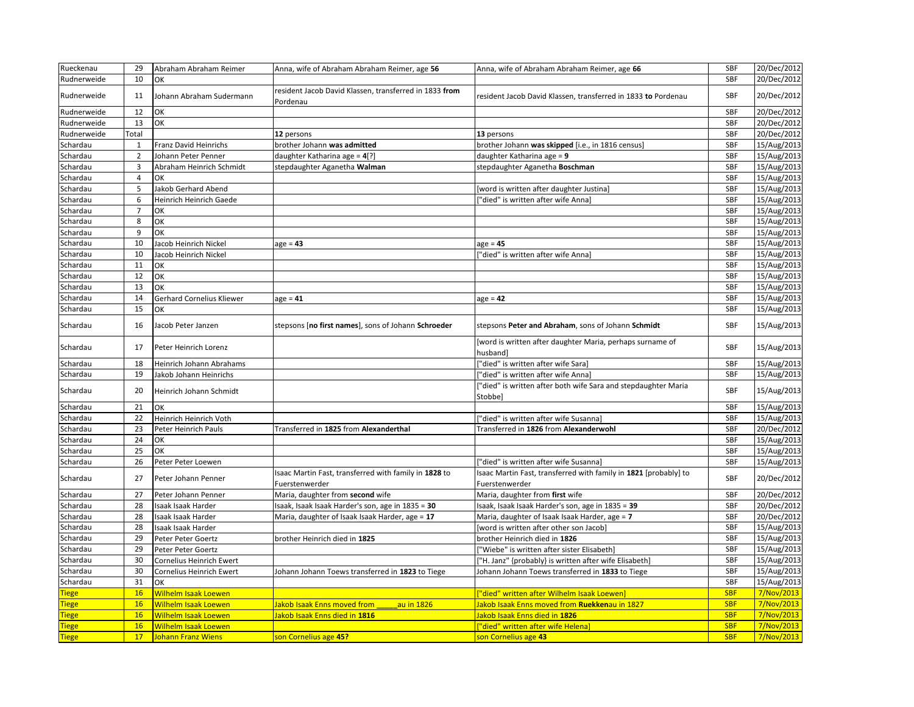| Rueckenau    | 29                      | Abraham Abraham Reimer           | Anna, wife of Abraham Abraham Reimer, age 56                            | Anna, wife of Abraham Abraham Reimer, age 66                                       | SBF        | 20/Dec/2012 |
|--------------|-------------------------|----------------------------------|-------------------------------------------------------------------------|------------------------------------------------------------------------------------|------------|-------------|
| Rudnerweide  | 10                      | OK                               |                                                                         |                                                                                    | SBF        | 20/Dec/2012 |
| Rudnerweide  | 11                      | Johann Abraham Sudermann         | resident Jacob David Klassen, transferred in 1833 from<br>Pordenau      | resident Jacob David Klassen, transferred in 1833 to Pordenau                      | SBF        | 20/Dec/2012 |
| Rudnerweide  | 12                      | OK                               |                                                                         |                                                                                    | SBF        | 20/Dec/2012 |
| Rudnerweide  | 13                      | OK                               |                                                                         |                                                                                    | SBF        | 20/Dec/2012 |
| Rudnerweide  | <b>Total</b>            |                                  | 12 persons                                                              | 13 persons                                                                         | SBF        | 20/Dec/2012 |
| Schardau     | $\mathbf{1}$            | Franz David Heinrichs            | brother Johann was admitted                                             | brother Johann was skipped [i.e., in 1816 census]                                  | SBF        | 15/Aug/2013 |
| Schardau     | $\overline{2}$          | Johann Peter Penner              | daughter Katharina age = 4[?]                                           | daughter Katharina age = 9                                                         | SBF        | 15/Aug/2013 |
| Schardau     | $\overline{\mathbf{3}}$ | Abraham Heinrich Schmidt         | stepdaughter Aganetha Walman                                            | stepdaughter Aganetha Boschman                                                     | SBF        | 15/Aug/2013 |
| Schardau     | $\overline{4}$          | OK                               |                                                                         |                                                                                    | SBF        | 15/Aug/2013 |
| Schardau     | 5                       | Jakob Gerhard Abend              |                                                                         | [word is written after daughter Justina]                                           | SBF        | 15/Aug/2013 |
| Schardau     | 6                       | Heinrich Heinrich Gaede          |                                                                         | "died" is written after wife Anna]                                                 | SBF        | 15/Aug/2013 |
| Schardau     | $\overline{7}$          | ОК                               |                                                                         |                                                                                    | SBF        | 15/Aug/2013 |
| Schardau     | 8                       | OK                               |                                                                         |                                                                                    | SBF        | 15/Aug/2013 |
| Schardau     | 9                       | OK                               |                                                                         |                                                                                    | SBF        | 15/Aug/2013 |
| Schardau     | 10                      | Jacob Heinrich Nickel            | $age = 43$                                                              | $age = 45$                                                                         | SBF        | 15/Aug/2013 |
| Schardau     | 10                      | Jacob Heinrich Nickel            |                                                                         | "died" is written after wife Anna]                                                 | SBF        | 15/Aug/2013 |
| Schardau     | 11                      | OK                               |                                                                         |                                                                                    | SBF        | 15/Aug/2013 |
| Schardau     | 12                      | OK                               |                                                                         |                                                                                    | SBF        | 15/Aug/2013 |
| Schardau     | 13                      | OK                               |                                                                         |                                                                                    | <b>SBF</b> | 15/Aug/2013 |
| Schardau     | 14                      | <b>Gerhard Cornelius Kliewer</b> | age = <b>41</b>                                                         | $age = 42$                                                                         | SBF        | 15/Aug/2013 |
| Schardau     | 15                      | OK                               |                                                                         |                                                                                    | SBF        | 15/Aug/2013 |
|              |                         |                                  |                                                                         |                                                                                    |            |             |
| Schardau     | 16                      | Jacob Peter Janzen               | stepsons [no first names], sons of Johann Schroeder                     | stepsons Peter and Abraham, sons of Johann Schmidt                                 | SBF        | 15/Aug/2013 |
| Schardau     | 17                      | Peter Heinrich Lorenz            |                                                                         | [word is written after daughter Maria, perhaps surname of<br>husbandl              | SBF        | 15/Aug/2013 |
| Schardau     | 18                      | Heinrich Johann Abrahams         |                                                                         | "died" is written after wife Sara]                                                 | SBF        | 15/Aug/2013 |
| Schardau     | 19                      | Jakob Johann Heinrichs           |                                                                         | "died" is written after wife Anna]                                                 | SBF        | 15/Aug/2013 |
| Schardau     | 20                      | Heinrich Johann Schmidt          |                                                                         | "died" is written after both wife Sara and stepdaughter Maria<br>Stobbe]           | SBF        | 15/Aug/2013 |
| Schardau     | 21                      | OK                               |                                                                         |                                                                                    | SBF        | 15/Aug/2013 |
| Schardau     | 22                      | Heinrich Heinrich Voth           |                                                                         | "died" is written after wife Susanna]                                              | SBF        | 15/Aug/2013 |
| Schardau     | 23                      | Peter Heinrich Pauls             | Transferred in 1825 from Alexanderthal                                  | Transferred in 1826 from Alexanderwohl                                             | SBF        | 20/Dec/2012 |
| Schardau     | 24                      | OK                               |                                                                         |                                                                                    | SBF        | 15/Aug/2013 |
| Schardau     | 25                      | OK                               |                                                                         |                                                                                    | SBF        | 15/Aug/2013 |
| Schardau     | 26                      | Peter Peter Loewen               |                                                                         | "died" is written after wife Susanna]                                              | SBF        | 15/Aug/2013 |
| Schardau     | 27                      | Peter Johann Penner              | Isaac Martin Fast, transferred with family in 1828 to<br>Fuerstenwerder | Isaac Martin Fast, transferred with family in 1821 [probably] to<br>Fuerstenwerder | SBF        | 20/Dec/2012 |
| Schardau     | 27                      | Peter Johann Penner              | Maria, daughter from second wife                                        | Maria, daughter from first wife                                                    | SBF        | 20/Dec/2012 |
| Schardau     | 28                      | Isaak Isaak Harder               | Isaak, Isaak Isaak Harder's son, age in 1835 = 30                       | Isaak, Isaak Isaak Harder's son, age in 1835 = 39                                  | SBF        | 20/Dec/2012 |
| Schardau     | 28                      | Isaak Isaak Harder               | Maria, daughter of Isaak Isaak Harder, age = 17                         | Maria, daughter of Isaak Isaak Harder, age = 7                                     | SBF        | 20/Dec/2012 |
| Schardau     | 28                      | Isaak Isaak Harder               |                                                                         | [word is written after other son Jacob]                                            | SBF        | 15/Aug/2013 |
| Schardau     | 29                      | Peter Peter Goertz               | brother Heinrich died in 1825                                           | brother Heinrich died in 1826                                                      | SBF        | 15/Aug/2013 |
| Schardau     | 29                      | Peter Peter Goertz               |                                                                         | "Wiebe" is written after sister Elisabeth]                                         | SBF        | 15/Aug/2013 |
| Schardau     | 30                      | Cornelius Heinrich Ewert         |                                                                         | "H. Janz" {probably} is written after wife Elisabeth]                              | SBF        | 15/Aug/2013 |
| Schardau     | 30                      | Cornelius Heinrich Ewert         | Johann Johann Toews transferred in 1823 to Tiege                        | Johann Johann Toews transferred in 1833 to Tiege                                   | SBF        | 15/Aug/2013 |
| Schardau     | 31                      | OK                               |                                                                         |                                                                                    | SBF        | 15/Aug/2013 |
| <b>Tiege</b> | 16                      | <b>Wilhelm Isaak Loewen</b>      |                                                                         | ["died" written after Wilhelm Isaak Loewen]                                        | <b>SBF</b> | 7/Nov/2013  |
| <b>Tiege</b> | 16                      | Wilhelm Isaak Loewen             | Jakob Isaak Enns moved from<br>au in 1826                               | Jakob Isaak Enns moved from Ruekkenau in 1827                                      | <b>SBF</b> | 7/Nov/2013  |
| <b>Tiege</b> | 16                      | Wilhelm Isaak Loewen             | Jakob Isaak Enns died in 1816                                           | Jakob Isaak Enns died in 1826                                                      | <b>SBF</b> | 7/Nov/2013  |
| <b>Tiege</b> | 16                      | <b>Wilhelm Isaak Loewen</b>      |                                                                         | ["died" written after wife Helena]                                                 | <b>SBF</b> | 7/Nov/2013  |
| <b>Tiege</b> | 17                      | Johann Franz Wiens               | son Cornelius age 45?                                                   | son Cornelius age 43                                                               | <b>SBF</b> | 7/Nov/2013  |
|              |                         |                                  |                                                                         |                                                                                    |            |             |